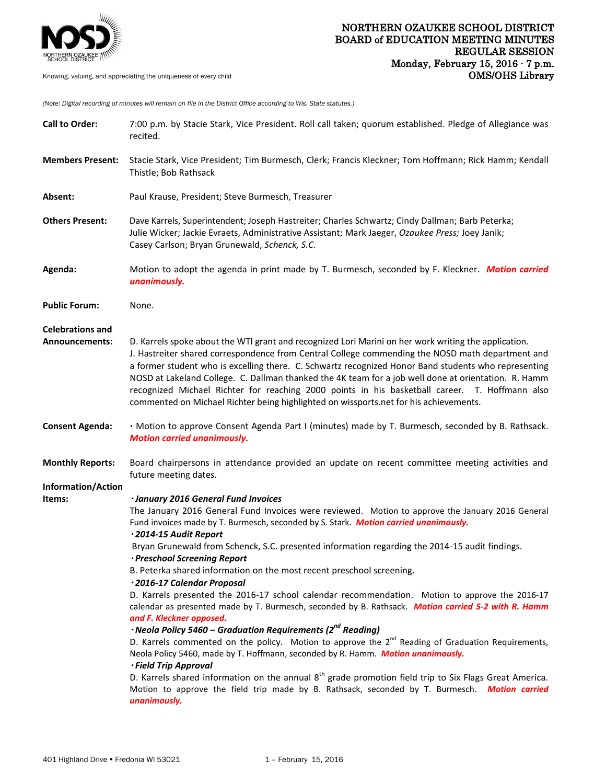

*(Note: Digital recording of minutes will remain on file in the District Office according to Wis. State statutes.)*

| <b>Call to Order:</b>               | 7:00 p.m. by Stacie Stark, Vice President. Roll call taken; quorum established. Pledge of Allegiance was<br>recited.                                                                                                                                                                                                                                                                                                                                                                                                                                                                                                |
|-------------------------------------|---------------------------------------------------------------------------------------------------------------------------------------------------------------------------------------------------------------------------------------------------------------------------------------------------------------------------------------------------------------------------------------------------------------------------------------------------------------------------------------------------------------------------------------------------------------------------------------------------------------------|
| <b>Members Present:</b>             | Stacie Stark, Vice President; Tim Burmesch, Clerk; Francis Kleckner; Tom Hoffmann; Rick Hamm; Kendall<br>Thistle; Bob Rathsack                                                                                                                                                                                                                                                                                                                                                                                                                                                                                      |
| Absent:                             | Paul Krause, President; Steve Burmesch, Treasurer                                                                                                                                                                                                                                                                                                                                                                                                                                                                                                                                                                   |
| <b>Others Present:</b>              | Dave Karrels, Superintendent; Joseph Hastreiter; Charles Schwartz; Cindy Dallman; Barb Peterka;<br>Julie Wicker; Jackie Evraets, Administrative Assistant; Mark Jaeger, Ozaukee Press; Joey Janik;<br>Casey Carlson; Bryan Grunewald, Schenck, S.C.                                                                                                                                                                                                                                                                                                                                                                 |
| Agenda:                             | Motion to adopt the agenda in print made by T. Burmesch, seconded by F. Kleckner. Motion carried<br>unanimously.                                                                                                                                                                                                                                                                                                                                                                                                                                                                                                    |
| <b>Public Forum:</b>                | None.                                                                                                                                                                                                                                                                                                                                                                                                                                                                                                                                                                                                               |
| <b>Celebrations and</b>             |                                                                                                                                                                                                                                                                                                                                                                                                                                                                                                                                                                                                                     |
| <b>Announcements:</b>               | D. Karrels spoke about the WTI grant and recognized Lori Marini on her work writing the application.<br>J. Hastreiter shared correspondence from Central College commending the NOSD math department and<br>a former student who is excelling there. C. Schwartz recognized Honor Band students who representing<br>NOSD at Lakeland College. C. Dallman thanked the 4K team for a job well done at orientation. R. Hamm<br>recognized Michael Richter for reaching 2000 points in his basketball career. T. Hoffmann also<br>commented on Michael Richter being highlighted on wissports.net for his achievements. |
| <b>Consent Agenda:</b>              | · Motion to approve Consent Agenda Part I (minutes) made by T. Burmesch, seconded by B. Rathsack.<br><b>Motion carried unanimously.</b>                                                                                                                                                                                                                                                                                                                                                                                                                                                                             |
| <b>Monthly Reports:</b>             | Board chairpersons in attendance provided an update on recent committee meeting activities and<br>future meeting dates.                                                                                                                                                                                                                                                                                                                                                                                                                                                                                             |
| <b>Information/Action</b><br>Items: | · January 2016 General Fund Invoices                                                                                                                                                                                                                                                                                                                                                                                                                                                                                                                                                                                |
|                                     | The January 2016 General Fund Invoices were reviewed. Motion to approve the January 2016 General<br>Fund invoices made by T. Burmesch, seconded by S. Stark. Motion carried unanimously.<br>·2014-15 Audit Report                                                                                                                                                                                                                                                                                                                                                                                                   |
|                                     | Bryan Grunewald from Schenck, S.C. presented information regarding the 2014-15 audit findings.<br>· Preschool Screening Report                                                                                                                                                                                                                                                                                                                                                                                                                                                                                      |
|                                     | B. Peterka shared information on the most recent preschool screening.                                                                                                                                                                                                                                                                                                                                                                                                                                                                                                                                               |
|                                     | ·2016-17 Calendar Proposal<br>D. Karrels presented the 2016-17 school calendar recommendation. Motion to approve the 2016-17                                                                                                                                                                                                                                                                                                                                                                                                                                                                                        |
|                                     | calendar as presented made by T. Burmesch, seconded by B. Rathsack. Motion carried 5-2 with R. Hamm<br>and F. Kleckner opposed.                                                                                                                                                                                                                                                                                                                                                                                                                                                                                     |
|                                     | $\cdot$ Neola Policy 5460 – Graduation Requirements (2 <sup>nd</sup> Reading)                                                                                                                                                                                                                                                                                                                                                                                                                                                                                                                                       |
|                                     | D. Karrels commented on the policy. Motion to approve the $2^{nd}$ Reading of Graduation Requirements,<br>Neola Policy 5460, made by T. Hoffmann, seconded by R. Hamm. Motion unanimously.<br>· Field Trip Approval                                                                                                                                                                                                                                                                                                                                                                                                 |
|                                     | D. Karrels shared information on the annual $8th$ grade promotion field trip to Six Flags Great America.<br>Motion to approve the field trip made by B. Rathsack, seconded by T. Burmesch. Motion carried<br>unanimously.                                                                                                                                                                                                                                                                                                                                                                                           |